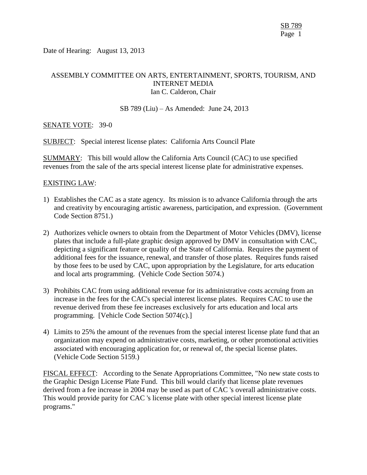Date of Hearing: August 13, 2013

# ASSEMBLY COMMITTEE ON ARTS, ENTERTAINMENT, SPORTS, TOURISM, AND INTERNET MEDIA Ian C. Calderon, Chair

### SB 789 (Liu) – As Amended: June 24, 2013

## SENATE VOTE: 39-0

SUBJECT: Special interest license plates: California Arts Council Plate

SUMMARY: This bill would allow the California Arts Council (CAC) to use specified revenues from the sale of the arts special interest license plate for administrative expenses.

### EXISTING LAW:

- 1) Establishes the CAC as a state agency. Its mission is to advance California through the arts and creativity by encouraging artistic awareness, participation, and expression. (Government Code Section 8751.)
- 2) Authorizes vehicle owners to obtain from the Department of Motor Vehicles (DMV), license plates that include a full-plate graphic design approved by DMV in consultation with CAC, depicting a significant feature or quality of the State of California. Requires the payment of additional fees for the issuance, renewal, and transfer of those plates. Requires funds raised by those fees to be used by CAC, upon appropriation by the Legislature, for arts education and local arts programming. (Vehicle Code Section 5074.)
- 3) Prohibits CAC from using additional revenue for its administrative costs accruing from an increase in the fees for the CAC's special interest license plates. Requires CAC to use the revenue derived from these fee increases exclusively for arts education and local arts programming. [Vehicle Code Section 5074(c).]
- 4) Limits to 25% the amount of the revenues from the special interest license plate fund that an organization may expend on administrative costs, marketing, or other promotional activities associated with encouraging application for, or renewal of, the special license plates. (Vehicle Code Section 5159.)

FISCAL EFFECT: According to the Senate Appropriations Committee, "No new state costs to the Graphic Design License Plate Fund. This bill would clarify that license plate revenues derived from a fee increase in 2004 may be used as part of CAC 's overall administrative costs. This would provide parity for CAC 's license plate with other special interest license plate programs."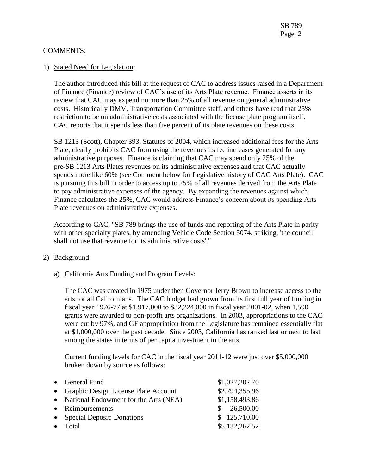### COMMENTS:

## 1) Stated Need for Legislation:

The author introduced this bill at the request of CAC to address issues raised in a Department of Finance (Finance) review of CAC's use of its Arts Plate revenue. Finance asserts in its review that CAC may expend no more than 25% of all revenue on general administrative costs. Historically DMV, Transportation Committee staff, and others have read that 25% restriction to be on administrative costs associated with the license plate program itself. CAC reports that it spends less than five percent of its plate revenues on these costs.

SB 1213 (Scott), Chapter 393, Statutes of 2004, which increased additional fees for the Arts Plate, clearly prohibits CAC from using the revenues its fee increases generated for any administrative purposes. Finance is claiming that CAC may spend only 25% of the pre-SB 1213 Arts Plates revenues on its administrative expenses and that CAC actually spends more like 60% (see Comment below for Legislative history of CAC Arts Plate). CAC is pursuing this bill in order to access up to 25% of all revenues derived from the Arts Plate to pay administrative expenses of the agency. By expanding the revenues against which Finance calculates the 25%, CAC would address Finance's concern about its spending Arts Plate revenues on administrative expenses.

According to CAC, "SB 789 brings the use of funds and reporting of the Arts Plate in parity with other specialty plates, by amending Vehicle Code Section 5074, striking, 'the council shall not use that revenue for its administrative costs'."

### 2) Background:

# a) California Arts Funding and Program Levels:

The CAC was created in 1975 under then Governor Jerry Brown to increase access to the arts for all Californians. The CAC budget had grown from its first full year of funding in fiscal year 1976-77 at \$1,917,000 to \$32,224,000 in fiscal year 2001-02, when 1,590 grants were awarded to non-profit arts organizations. In 2003, appropriations to the CAC were cut by 97%, and GF appropriation from the Legislature has remained essentially flat at \$1,000,000 over the past decade. Since 2003, California has ranked last or next to last among the states in terms of per capita investment in the arts.

Current funding levels for CAC in the fiscal year 2011-12 were just over \$5,000,000 broken down by source as follows:

| • General Fund                          | \$1,027,202.70 |
|-----------------------------------------|----------------|
| • Graphic Design License Plate Account  | \$2,794,355.96 |
| • National Endowment for the Arts (NEA) | \$1,158,493.86 |
| • Reimbursements                        | \$26,500.00    |
| • Special Deposit: Donations            | \$125,710.00   |
| $\bullet$ Total                         | \$5,132,262.52 |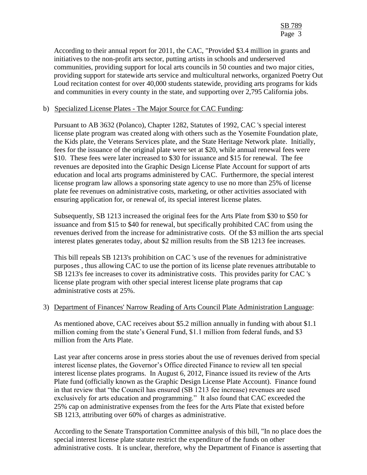According to their annual report for 2011, the CAC, "Provided \$3.4 million in grants and initiatives to the non-profit arts sector, putting artists in schools and underserved communities, providing support for local arts councils in 50 counties and two major cities, providing support for statewide arts service and multicultural networks, organized Poetry Out Loud recitation contest for over 40,000 students statewide, providing arts programs for kids and communities in every county in the state, and supporting over 2,795 California jobs.

## b) Specialized License Plates - The Major Source for CAC Funding:

Pursuant to AB 3632 (Polanco), Chapter 1282, Statutes of 1992, CAC 's special interest license plate program was created along with others such as the Yosemite Foundation plate, the Kids plate, the Veterans Services plate, and the State Heritage Network plate. Initially, fees for the issuance of the original plate were set at \$20, while annual renewal fees were \$10. These fees were later increased to \$30 for issuance and \$15 for renewal. The fee revenues are deposited into the Graphic Design License Plate Account for support of arts education and local arts programs administered by CAC. Furthermore, the special interest license program law allows a sponsoring state agency to use no more than 25% of license plate fee revenues on administrative costs, marketing, or other activities associated with ensuring application for, or renewal of, its special interest license plates.

Subsequently, SB 1213 increased the original fees for the Arts Plate from \$30 to \$50 for issuance and from \$15 to \$40 for renewal, but specifically prohibited CAC from using the revenues derived from the increase for administrative costs. Of the \$3 million the arts special interest plates generates today, about \$2 million results from the SB 1213 fee increases.

This bill repeals SB 1213's prohibition on CAC 's use of the revenues for administrative purposes , thus allowing CAC to use the portion of its license plate revenues attributable to SB 1213's fee increases to cover its administrative costs. This provides parity for CAC 's license plate program with other special interest license plate programs that cap administrative costs at 25%.

### 3) Department of Finances' Narrow Reading of Arts Council Plate Administration Language:

As mentioned above, CAC receives about \$5.2 million annually in funding with about \$1.1 million coming from the state's General Fund, \$1.1 million from federal funds, and \$3 million from the Arts Plate.

Last year after concerns arose in press stories about the use of revenues derived from special interest license plates, the Governor's Office directed Finance to review all ten special interest license plates programs. In August 6, 2012, Finance issued its review of the Arts Plate fund (officially known as the Graphic Design License Plate Account). Finance found in that review that "the Council has ensured (SB 1213 fee increase) revenues are used exclusively for arts education and programming." It also found that CAC exceeded the 25% cap on administrative expenses from the fees for the Arts Plate that existed before SB 1213, attributing over 60% of charges as administrative.

According to the Senate Transportation Committee analysis of this bill, "In no place does the special interest license plate statute restrict the expenditure of the funds on other administrative costs. It is unclear, therefore, why the Department of Finance is asserting that